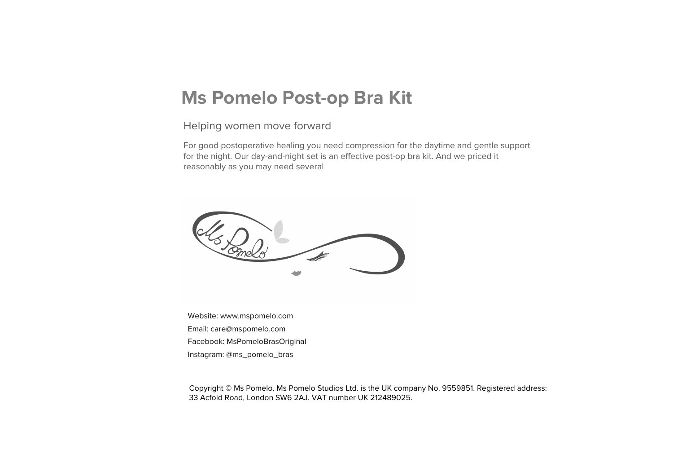## **Ms Pomelo Post-op Bra Kit**

### Helping women move forward

For good postoperative healing you need compression for the daytime and gentle support for the night. Our day-and-night set is an effective post-op bra kit. And we priced it reasonably as you may need several



Website: www.mspomelo.com Email: care@mspomelo.com Facebook: MsPomeloBrasOriginal Instagram: @ms\_pomelo\_bras

Copyright © Ms Pomelo. Ms Pomelo Studios Ltd. is the UK company No. 9559851. Registered address: 33 Acfold Road, London SW6 2AJ. VAT number UK 212489025.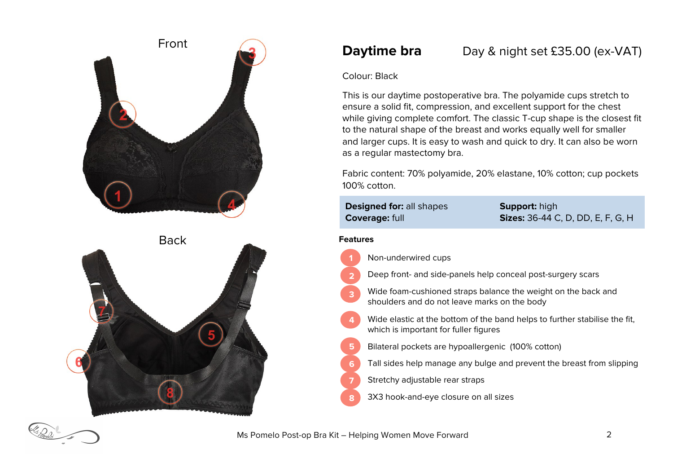



**Daytime bra** Day & night set £35.00 (ex-VAT)

### Colour: Black

This is our daytime postoperative bra. The polyamide cups stretch to ensure a solid fit, compression, and excellent support for the chest while giving complete comfort. The classic T-cup shape is the closest fit to the natural shape of the breast and works equally well for smaller and larger cups. It is easy to wash and quick to dry. It can also be worn as a regular mastectomy bra.

Fabric content: 70% polyamide, 20% elastane, 10% cotton; cup pockets 100% cotton.

| <b>Designed for: all shapes</b> | <b>Support:</b> high                     |
|---------------------------------|------------------------------------------|
| <b>Coverage: full</b>           | <b>Sizes:</b> 36-44 C, D, DD, E, F, G, H |

#### **Features**

|                | Non-underwired cups                                                                                                 |
|----------------|---------------------------------------------------------------------------------------------------------------------|
| $\overline{2}$ | Deep front- and side-panels help conceal post-surgery scars                                                         |
| $\mathbf{3}$   | Wide foam-cushioned straps balance the weight on the back and<br>shoulders and do not leave marks on the body       |
| 4              | Wide elastic at the bottom of the band helps to further stabilise the fit,<br>which is important for fuller figures |
| 5              | Bilateral pockets are hypoallergenic (100% cotton)                                                                  |
| 6              | Tall sides help manage any bulge and prevent the breast from slipping                                               |
| 7              | Stretchy adjustable rear straps                                                                                     |
| 8              | 3X3 hook-and-eye closure on all sizes                                                                               |

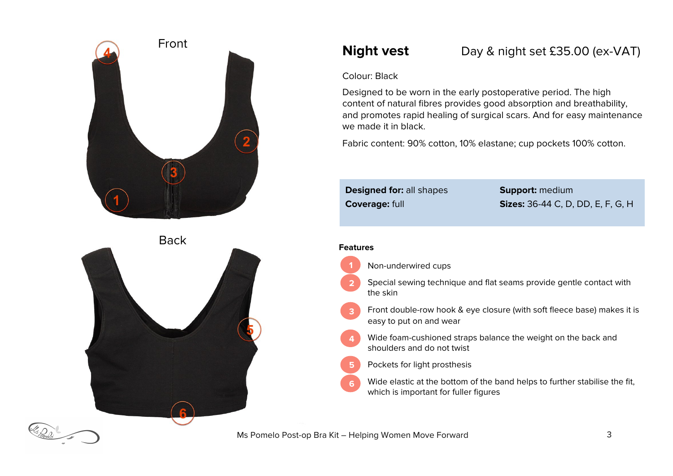



**Night vest** Day & night set £35.00 (ex-VAT)

Colour: Black

Designed to be worn in the early postoperative period. The high content of natural fibres provides good absorption and breathability, and promotes rapid healing of surgical scars. And for easy maintenance we made it in black.

Fabric content: 90% cotton, 10% elastane; cup pockets 100% cotton.

|                 | <b>Designed for: all shapes</b><br><b>Coverage: full</b> | <b>Support: medium</b><br><b>Sizes:</b> 36-44 C, D, DD, E, F, G, H      |
|-----------------|----------------------------------------------------------|-------------------------------------------------------------------------|
| <b>Features</b> |                                                          |                                                                         |
|                 | Non-underwired cups                                      |                                                                         |
| $\overline{2}$  | the skin                                                 | Special sewing technique and flat seams provide gentle contact with     |
| 3               |                                                          | Front double-row hook & eye closure (with soft fleece base) makes it is |

Front double-row hook & eye closure (with soft fleece base) makes it is easy to put on and wear

Wide foam-cushioned straps balance the weight on the back and shoulders and do not twist

Pockets for light prosthesis **5**

Wide elastic at the bottom of the band helps to further stabilise the fit, which is important for fuller figures **6**

**4**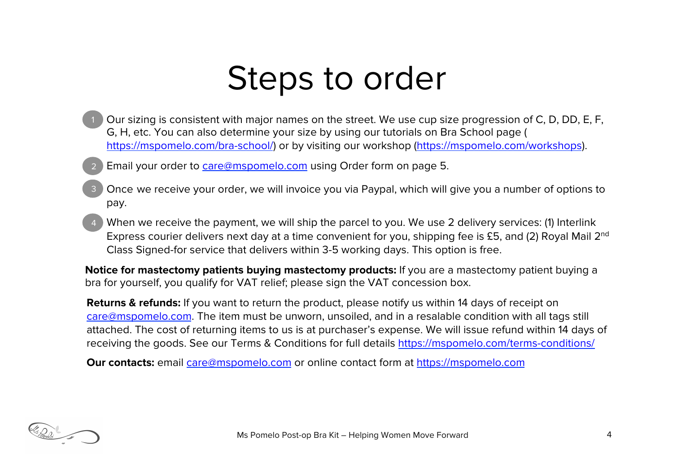# Steps to order

- Our sizing is consistent with major names on the street. We use cup size progression of C, D, DD, E, F, G, H, etc. You can also determine your size by using our tutorials on Bra School page ( https://mspomelo.com/bra-school/) or by visiting our workshop (https://mspomelo.com/workshops).
- Email your order to care@mspomelo.com using Order form on page 5. 2
- Once we receive your order, we will invoice you via Paypal, which will give you a number of options to pay.
- When we receive the payment, we will ship the parcel to you. We use 2 delivery services: (1) Interlink Express courier delivers next day at a time convenient for you, shipping fee is £5, and (2) Royal Mail 2<sup>nd</sup> Class Signed-for service that delivers within 3-5 working days. This option is free. 4

**Notice for mastectomy patients buying mastectomy products:** If you are a mastectomy patient buying a bra for yourself, you qualify for VAT relief; please sign the VAT concession box.

**Returns & refunds:** If you want to return the product, please notify us within 14 days of receipt on care@mspomelo.com. The item must be unworn, unsoiled, and in a resalable condition with all tags still attached. The cost of returning items to us is at purchaser's expense. We will issue refund within 14 days of receiving the goods. See our Terms & Conditions for full details https://mspomelo.com/terms-conditions/

**Our contacts:** email care@mspomelo.com or online contact form at https://mspomelo.com